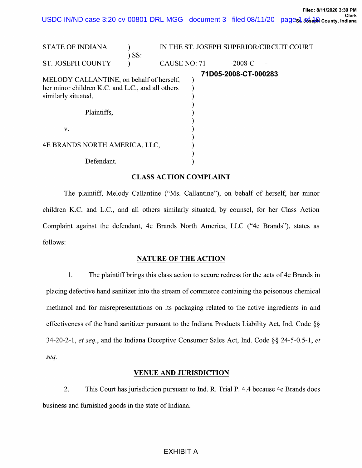USDC IN/ND case 3:20-cv-00801-DRL-MGG document 3 filed 08/11/20 pages1 as a being, Indiana

| <b>STATE OF INDIANA</b>                                                                                             | IN THE ST. JOSEPH SUPERIOR/CIRCUIT COURT |              |  |                      |  |
|---------------------------------------------------------------------------------------------------------------------|------------------------------------------|--------------|--|----------------------|--|
|                                                                                                                     | $\sum$ SS:                               |              |  |                      |  |
| <b>ST. JOSEPH COUNTY</b>                                                                                            |                                          | CAUSE NO: 71 |  | $-2008-C$            |  |
| MELODY CALLANTINE, on behalf of herself,<br>her minor children K.C. and L.C., and all others<br>similarly situated, |                                          |              |  | 71D05-2008-CT-000283 |  |
| Plaintiffs,                                                                                                         |                                          |              |  |                      |  |
| V.                                                                                                                  |                                          |              |  |                      |  |
| 4E BRANDS NORTH AMERICA, LLC,                                                                                       |                                          |              |  |                      |  |
| Defendant.                                                                                                          |                                          |              |  |                      |  |

#### CLASS ACTION COMPLAINT

The plaintiff, Melody Callantine ("Ms. Callantine"), on behalf of herself, her minor children K.C. and L.C., and all others similarly situated, by counsel, for her Class Action Complaint against the defendant, 4e Brands North America, LLC ("4e Brands"), states as follows:

#### NATURE OF THE ACTION

1. The plaintiff brings this class action to secure redress for the acts of 4e Brands in placing defective hand sanitizer into the stream of commerce containing the poisonous chemical methanol and for misrepresentations on its packaging related to the active ingredients in and effectiveness of the hand sanitizer pursuant to the Indiana Products Liability Act, Ind. Code §§ 34-20-2-1, et seq., and the Indiana Deceptive Consumer Sales Act, Ind. Code §§ 24-5-0.5-1, et seq.

#### VENUE AND JURISDICTION

2. This Court has jurisdiction pursuant to Ind. R. Trial P. 4.4 because 4e Brands does business and furnished goods in the state of Indiana.

# EXHIBIT A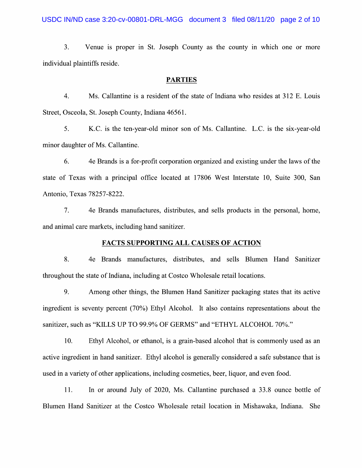3. Venue is proper in St. Joseph County as the county in which one or more individual plaintiffs reside.

#### PARTIES

4. Ms. Callantine is a resident of the state of Indiana who resides at 312 E. Louis Street, Osceola, St. Joseph County, Indiana 46561.

5. K.C. is the ten-year-old minor son of Ms. Callantine. L.C. is the six-year-old minor daughter of Ms. Callantine.

6. 4e Brands is for-profit corporation organized and existing under the laws 0f the state of Texas with a principal office located at 17806 West Interstate 10, Suite 300, San Antonio, Texas 78257—8222.

7. 4e Brands manufactures, distributes, and sells products in the personal, home, and animal care markets, including hand sanitizer.

# FACTS SUPPORTING ALL CAUSES OF ACTION

8. 4e Brands manufactures, distributes, and sells Blumen Hand Sanitizer throughout the state 0f Indiana, including at Costco Wholesale retail locations.

9. Among other things, the Blumen Hand Sanitizer packaging states that its active ingredient is seventy percent (70%) Ethyl Alcohol. It also contains representations about the sanitizer, such as "KILLS UP TO 99.9% OF GERMS" and "ETHYL ALCOHOL 70%."

10. Ethyl Alcohol, or ethanol, is grain—based alcohol that is commonly used as an active ingredient in hand sanitizer. Ethyl alcohol is generally considered a safe substance that is used in a variety of other applications, including cosmetics, beer, liquor, and even food.

11. In or around July of 2020, Ms. Callantine purchased a 33.8 ounce bottle of Blumen Hand Sanitizer at the Costco Wholesale retail location in Mishawaka, Indiana. She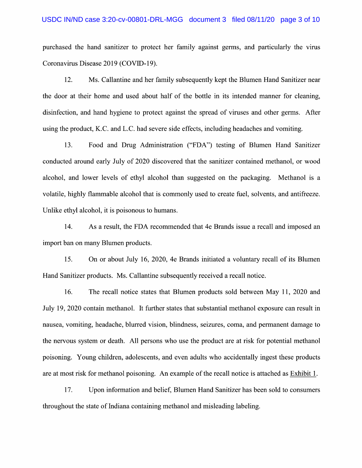## USDC IN/ND case 3:20-cv-00801-DRL-MGG document 3 filed 08/11/20 page 3 of 10

purchased the hand sanitizer to protect her family against germs, and particularly the virus Coronavirus Disease 2019 (COVID-19).

12. Ms. Callantine and her family subsequently kept the Blumen Hand Sanitizer near the door at their home and used about half 0f the bottle in its intended manner for cleaning, disinfection, and hand hygiene to protect against the spread of viruses and other germs. After using the product, K.C. and L.C. had severe side effects, including headaches and vomiting.

13. Food and Drug Administration ("FDA") testing of Blumen Hand Sanitizer conducted around early July 0f 2020 discovered that the sanitizer contained methanol, 0r wood alcohol, and lower levels of ethyl alcohol than suggested on the packaging. Methanol is a volatile, highly flammable alcohol that is commonly used to create fuel, solvents, and antifreeze. Unlike ethyl alcohol, it is poisonous to humans.

14. As a result, the FDA recommended that 4e Brands issue a recall and imposed an import ban on many Blumen products.

15. On or about July 16, 2020, 4e Brands initiated a voluntary recall of its Blumen Hand Sanitizer products. Ms. Callantine subsequently received a recall notice.

16. The recall notice states that Blumen products sold between May 11, 2020 and July 19, 2020 contain methanol. It further states that substantial methanol exposure can result in nausea, vomiting, headache, blurred vision, blindness, seizures, coma, and permanent damage to the nervous system or death. A11 persons who use the product are at risk for potential methanol poisoning. Young children, adolescents, and even adults Who accidentally ingest these products are at most risk for methanol poisoning. An example 0f the recall notice is attached as Exhibit 1.

17. Upon information and belief, Blumen Hand Sanitizer has been sold to consumers throughout the state 0f Indiana containing methanol and misleading labeling.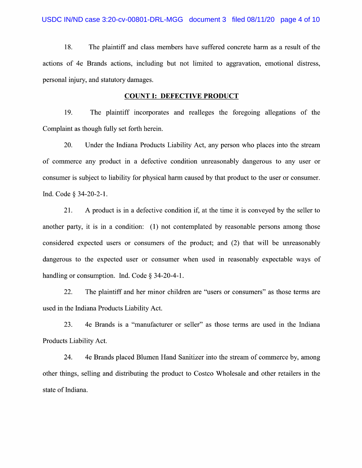18. The plaintiff and class members have suffered concrete harm as a result of the actions of 4e Brands actions, including but not limited to aggravation, emotional distress, personal injury, and statutory damages.

### COUNT I: DEFECTIVE PRODUCT

19. The plaintiff incorporates and realleges the foregoing allegations of the Complaint as though fully set forth herein.

20. Under the Indiana Products Liability Act, any person Who places into the stream of commerce any product in a defective condition unreasonably dangerous to any user or consumer is subject to liability for physical harm caused by that product to the user or consumer. Ind. Code § 34-20-2-1.

21. A product is in a defective condition if, at the time it is conveyed by the seller to another party, it is in a condition: (1) not contemplated by reasonable persons among those considered expected users or consumers of the product; and (2) that will be unreasonably dangerous to the expected user or consumer when used in reasonably expectable ways of handling or consumption. Ind. Code  $\S$  34-20-4-1.

22. The plaintiff and her minor children are "users or consumers" as those terms are used in the Indiana Products Liability Act.

23. 4e Brands is a "manufacturer or seller" as those terms are used in the Indiana Products Liability Act.

24. 4e Brands placed Blumen Hand Sanitizer into the stream of commerce by, among other things, selling and distributing the product to Costco Wholesale and other retailers in the state 0f Indiana.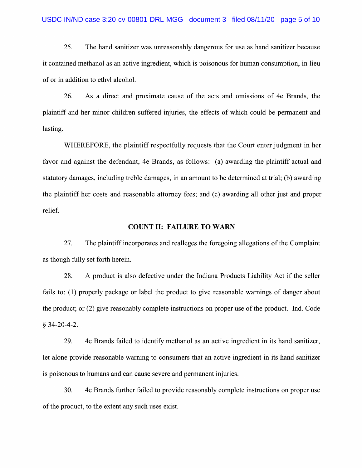## USDC IN/ND case 3:20-cv-00801-DRL-MGG document 3 filed 08/11/20 page 5 of 10

25. The hand sanitizer was unreasonably dangerous for use as hand sanitizer because it contained methanol as an active ingredient, Which is poisonous for human consumption, in lieu 0f 0r in addition t0 ethyl alcohol.

26. As direct and proximate cause 0f the acts and omissions of 4e Brands, the plaintiff and her minor children suffered injuries, the effects of which could be permanent and lasting.

WHEREFORE, the plaintiff respectfully requests that the Court enter judgment in her favor and against the defendant, 4e Brands, as follows: (a) awarding the plaintiff actual and statutory damages, including treble damages, in an amount to be determined at trial; (b) awarding the plaintiff her costs and reasonable attorney fees; and (c) awarding all other just and proper relief.

#### COUNT II: FAILURE TO WARN

27. The plaintiff incorporates and realleges the foregoing allegations 0f the Complaint as though fully set forth herein.

28. A product is also defective under the Indiana Products Liability Act if the seller fails to: (1) properly package or label the product to give reasonable warnings of danger about the product; 0r (2) give reasonably complete instructions 0n proper use of the product. Ind. Code  $§$  34-20-4-2.

29. 4e Brands failed to identify methanol as an active ingredient in its hand sanitizer, let alone provide reasonable warning to consumers that an active ingredient in its hand sanitizer is poisonous to humans and can cause severe and permanent injuries.

30. 4e Brands further failed to provide reasonably complete instructions on proper use of the product, t0 the extent any such uses exist.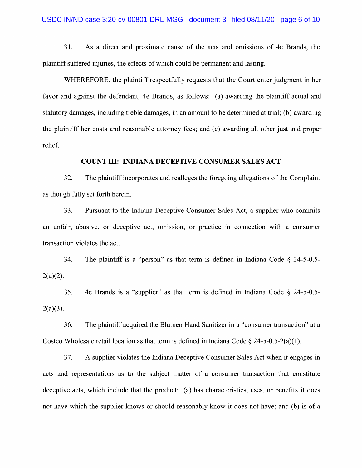31. As direct and proximate cause of the acts and omissions of 4e Brands, the plaintiff suffered injuries, the effects of Which could be permanent and lasting.

WHEREFORE, the plaintiff respectfully requests that the Court enter judgment in her favor and against the defendant, 4e Brands, as follows: (a) awarding the plaintiff actual and statutory damages, including treble damages, in an amount to be determined at trial; (b) awarding the plaintiff her costs and reasonable attorney fees; and (c) awarding all other just and proper relief.

#### COUNT III: INDIANA DECEPTIVE CONSUMER SALES ACT

32. The plaintiff incorporates and realleges the foregoing allegations 0f the Complaint as though fully set forth herein.

33. Pursuant to the Indiana Deceptive Consumer Sales Act, a supplier who commits an unfair, abusive, or deceptive act, omission, or practice in connection with a consumer transaction violates the act.

34. The plaintiff is a "person" as that term is defined in Indiana Code  $\S$  24-5-0.5- $2(a)(2)$ .

35. 4e Brands is a "supplier" as that term is defined in Indiana Code  $\S$  24-5-0.5- $2(a)(3)$ .

36. The plaintiff acquired the Blumen Hand Sanitizer in a "consumer transaction" at a Costco Wholesale retail location as that term is defined in Indiana Code  $\S 24-5-0.5-2(a)(1)$ .

37. A supplier violates the Indiana Deceptive Consumer Sales Act when it engages in acts and representations as to the subject matter of a consumer transaction that constitute deceptive acts, which include that the product: (a) has characteristics, uses, or benefits it does not have which the supplier knows or should reasonably know it does not have; and (b) is of a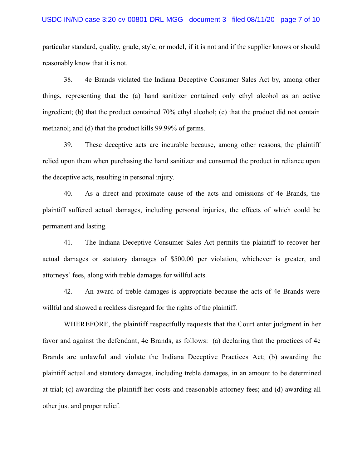## USDC IN/ND case 3:20-cv-00801-DRL-MGG document 3 filed 08/11/20 page 7 of 10

particular standard, quality, grade, style, or model, if it is not and if the supplier knows or should reasonably know that it is not.

38. 4e Brands violated the Indiana Deceptive Consumer Sales Act by, among other things, representing that the (a) hand sanitizer contained only ethyl alcohol as an active ingredient; (b) that the product contained 70% ethyl alcohol; (c) that the product did not contain methanol; and (d) that the product kills 99.99% of germs.

39. These deceptive acts are incurable because, among other reasons, the plaintiff relied upon them when purchasing the hand sanitizer and consumed the product in reliance upon the deceptive acts, resulting in personal injury.

40. As a direct and proximate cause of the acts and omissions of 4e Brands, the plaintiff suffered actual damages, including personal injuries, the effects of which could be permanent and lasting.

41. The Indiana Deceptive Consumer Sales Act permits the plaintiff to recover her actual damages or statutory damages of \$500.00 per violation, whichever is greater, and attorneys' fees, along with treble damages for willful acts.

42. An award of treble damages is appropriate because the acts of 4e Brands were willful and showed a reckless disregard for the rights of the plaintiff.

WHEREFORE, the plaintiff respectfully requests that the Court enter judgment in her favor and against the defendant, 4e Brands, as follows: (a) declaring that the practices of 4e Brands are unlawful and violate the Indiana Deceptive Practices Act; (b) awarding the plaintiff actual and statutory damages, including treble damages, in an amount to be determined at trial; (c) awarding the plaintiff her costs and reasonable attorney fees; and (d) awarding all other just and proper relief.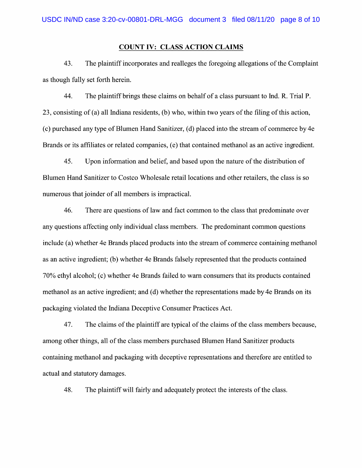### COUNT IV: CLASS ACTION CLAIMS

43. The plaintiff incorporates and realleges the foregoing allegations of the Complaint as though fully set forth herein.

44. The plaintiff brings these claims on behalf of a class pursuant to Ind. R. Trial P. 23, consisting 0f (a) all Indiana residents, (b) Who, Within two years of the filing of this action, (c) purchased any type 0f Blumen Hand Sanitizer, (d) placed into the stream 0f commerce by 4e Brands 0r its affiliates or related companies, (e) that contained methanol as an active ingredient.

45. Upon information and belief, and based upon the nature 0f the distribution of Blumen Hand Sanitizer to Costco Wholesale retail locations and other retailers, the class is so numerous that joinder of all members is impractical.

46. There are questions of law and fact common to the class that predominate over any questions affecting only individual class members. The predominant common questions include (a) Whether 4e Brands placed products into the stream 0f commerce containing methanol as an active ingredient; (b) Whether 4e Brands falsely represented that the products contained 70% ethyl alcohol; (c) whether 4e Brands failed to warn consumers that its products contained methanol as an active ingredient; and (d) Whether the representations made by 4e Brands on its packaging violated the Indiana Deceptive Consumer Practices Act.

47. The claims of the plaintiff are typical 0f the claims 0f the class members because, among other things, all 0f the class members purchased Blumen Hand Sanitizer products containing methanol and packaging with deceptive representations and therefore are entitled to actual and statutory damages.

48. The plaintiff will fairly and adequately protect the interests of the class.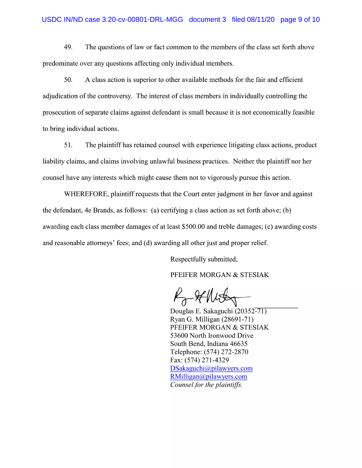## USDC IN/ND case 3:20-cv-00801-DRL-MGG document 3 filed 08/11/20 page 9 of 10

49. The questions of law or fact common to the members of the class set forth above predominate over any questions affecting only individual members.

50. A class action is superior to other available methods for the fair and efficient adjudication of the controversy. The interest of class members in individually controlling the prosecution of separate claims against defendant is small because it is not economically feasible to bring individual actions.

51. The plaintiff has retained counsel with experience litigating class actions, product liability claims, and claims involving unlawful business practices. Neither the plaintiff nor her counsel have any interests Which might cause them not to vigorously pursue this action.

WHEREFORE, plaintiff requests that the Court enter judgment in her favor and against the defendant, 4e Brands, as follows: (a) certifying a class action as set forth above; (b) awarding each class member damages of at least \$500.00 and treble damages; (c) awarding costs and reasonable attorneys' fees; and (d) awarding all other just and proper relief.

Respectfully submitted,

PFEIFER MORGAN & STESIAK

 $\n *H*  $\overline{H}$   $\overline{H}$   $\overline{H}$   $\overline{H}$   $\overline{H}$   $\overline{H}$   $\overline{H}$   $\overline{H}$   $\overline{H}$   $\overline{H}$   $\overline{H}$   $\overline{H}$   $\overline{H}$   $\overline{H}$   $\overline{H}$   $\overline{H}$   $\overline{H}$   $\overline{H}$   $\overline{H}$   $\overline{H}$   $\overline{H}$$ 

Ryan G. Milligan (28691-71) PFEIFER MORGAN & STESIAK 53600 North Ironwood Drive South Bend, Indiana 46635 Telephone: (574) 272-2870 Fax: (574) 271-4329 DSakaguchi@pilawyers.com RMilligan@pilawyers.c0m Counsel for the plaintiffs.